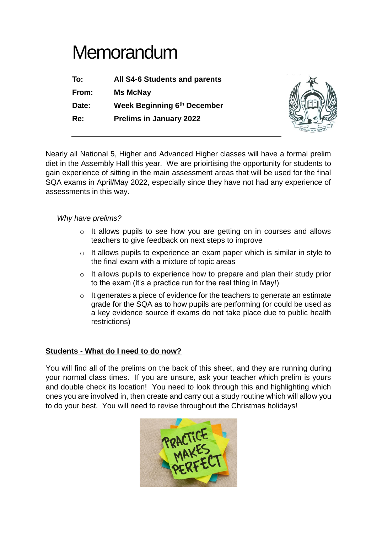## **Memorandum**

| To:   | <b>All S4-6 Students and parents</b> |
|-------|--------------------------------------|
| From: | <b>Ms McNay</b>                      |
| Date: | Week Beginning 6th December          |
| Re:   | <b>Prelims in January 2022</b>       |



Nearly all National 5, Higher and Advanced Higher classes will have a formal prelim diet in the Assembly Hall this year. We are prioirtising the opportunity for students to gain experience of sitting in the main assessment areas that will be used for the final SQA exams in April/May 2022, especially since they have not had any experience of assessments in this way.

## *Why have prelims?*

- o It allows pupils to see how you are getting on in courses and allows teachers to give feedback on next steps to improve
- o It allows pupils to experience an exam paper which is similar in style to the final exam with a mixture of topic areas
- o It allows pupils to experience how to prepare and plan their study prior to the exam (it's a practice run for the real thing in May!)
- o It generates a piece of evidence for the teachers to generate an estimate grade for the SQA as to how pupils are performing (or could be used as a key evidence source if exams do not take place due to public health restrictions)

## **Students - What do I need to do now?**

You will find all of the prelims on the back of this sheet, and they are running during your normal class times. If you are unsure, ask your teacher which prelim is yours and double check its location! You need to look through this and highlighting which ones you are involved in, then create and carry out a study routine which will allow you to do your best. You will need to revise throughout the Christmas holidays!

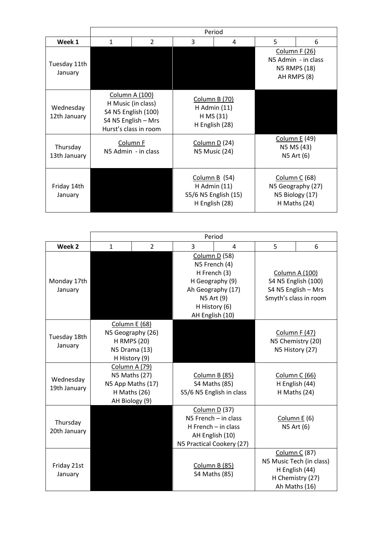|                           | Period                                                                                                      |                |                                       |                                                                               |                                                                     |                                                                         |  |
|---------------------------|-------------------------------------------------------------------------------------------------------------|----------------|---------------------------------------|-------------------------------------------------------------------------------|---------------------------------------------------------------------|-------------------------------------------------------------------------|--|
| Week 1                    | $\mathbf{1}$                                                                                                | $\overline{2}$ | 3                                     | 4                                                                             | 5                                                                   | 6                                                                       |  |
| Tuesday 11th<br>January   |                                                                                                             |                |                                       |                                                                               | Column F (26)<br>N5 Admin - in class<br>N5 RMPS (18)<br>AH RMPS (8) |                                                                         |  |
| Wednesday<br>12th January | Column A (100)<br>H Music (in class)<br>S4 N5 English (100)<br>S4 N5 English - Mrs<br>Hurst's class in room |                |                                       | <b>Column B (70)</b><br>$H$ Admin $(11)$<br>H MS (31)<br>H English (28)       |                                                                     |                                                                         |  |
| Thursday<br>13th January  | Column F<br>N5 Admin - in class                                                                             |                | Column D (24)<br><b>N5 Music (24)</b> |                                                                               |                                                                     | Column E (49)<br>N5 MS (43)<br>N5 Art (6)                               |  |
| Friday 14th<br>January    |                                                                                                             |                |                                       | Column B $(54)$<br>$H$ Admin $(11)$<br>S5/6 N5 English (15)<br>H English (28) |                                                                     | Column C (68)<br>N5 Geography (27)<br>N5 Biology (17)<br>H Maths $(24)$ |  |

|                           | Period                                                                                     |                |                                                                                                                                          |                                                     |                                                                                              |                                                                                        |
|---------------------------|--------------------------------------------------------------------------------------------|----------------|------------------------------------------------------------------------------------------------------------------------------------------|-----------------------------------------------------|----------------------------------------------------------------------------------------------|----------------------------------------------------------------------------------------|
| Week 2                    | $\mathbf{1}$                                                                               | $\overline{2}$ | 3                                                                                                                                        | 4                                                   | 5                                                                                            | 6                                                                                      |
| Monday 17th<br>January    |                                                                                            |                | Column D (58)<br>N5 French (4)<br>H French (3)<br>H Geography (9)<br>Ah Geography (17)<br>N5 Art (9)<br>H History (6)<br>AH English (10) |                                                     | <b>Column A (100)</b><br>S4 N5 English (100)<br>S4 N5 English - Mrs<br>Smyth's class in room |                                                                                        |
| Tuesday 18th<br>January   | Column E (68)<br>N5 Geography (26)<br><b>H RMPS (20)</b><br>N5 Drama (13)<br>H History (9) |                |                                                                                                                                          |                                                     | Column F (47)<br>N5 Chemistry (20)<br>N5 History (27)                                        |                                                                                        |
| Wednesday<br>19th January | Column A (79)<br>N5 Maths (27)<br>N5 App Maths (17)<br>H Maths (26)<br>AH Biology (9)      |                | S4 Maths (85)                                                                                                                            | Column B (85)<br>S5/6 N5 English in class           |                                                                                              | Column C (66)<br>H English (44)<br>H Maths (24)                                        |
| Thursday<br>20th January  |                                                                                            |                | Column D (37)<br>AH English (10)<br>N5 Practical Cookery (27)                                                                            | $NS$ French $-$ in class<br>$H$ French $-$ in class |                                                                                              | Column $E(6)$<br>N5 Art (6)                                                            |
| Friday 21st<br>January    |                                                                                            |                | S4 Maths (85)                                                                                                                            | Column B (85)                                       | Ah Maths (16)                                                                                | <b>Column C (87)</b><br>N5 Music Tech (in class)<br>H English (44)<br>H Chemistry (27) |